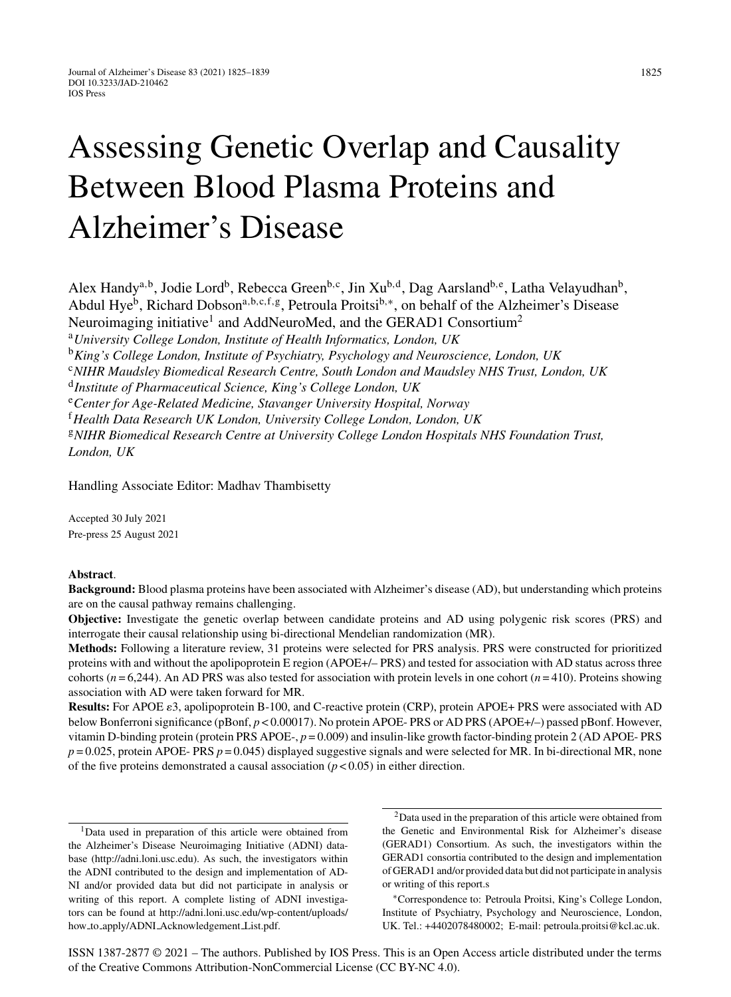# Assessing Genetic Overlap and Causality Between Blood Plasma Proteins and Alzheimer's Disease

Alex Handy<sup>a,b</sup>, Jodie Lord<sup>b</sup>, Rebecca Green<sup>b,c</sup>, Jin Xu<sup>b,d</sup>, Dag Aarsland<sup>b,e</sup>, Latha Velayudhan<sup>b</sup>, Abdul Hye<sup>b</sup>, Richard Dobson<sup>a, b, c, f, g</sup>, Petroula Proitsi<sup>b,∗</sup>, on behalf of the Alzheimer's Disease Neuroimaging initiative<sup>1</sup> and AddNeuroMed, and the GERAD1 Consortium<sup>2</sup>

<sup>a</sup>*University College London, Institute of Health Informatics, London, UK*

<sup>b</sup>*King's College London, Institute of Psychiatry, Psychology and Neuroscience, London, UK*

<sup>c</sup>*NIHR Maudsley Biomedical Research Centre, South London and Maudsley NHS Trust, London, UK*

<sup>e</sup>*Center for Age-Related Medicine, Stavanger University Hospital, Norway*

<sup>f</sup>*Health Data Research UK London, University College London, London, UK*

<sup>g</sup>*NIHR Biomedical Research Centre at University College London Hospitals NHS Foundation Trust, London, UK*

Handling Associate Editor: Madhav Thambisetty

Accepted 30 July 2021 Pre-press 25 August 2021

#### **Abstract**.

**Background:** Blood plasma proteins have been associated with Alzheimer's disease (AD), but understanding which proteins are on the causal pathway remains challenging.

**Objective:** Investigate the genetic overlap between candidate proteins and AD using polygenic risk scores (PRS) and interrogate their causal relationship using bi-directional Mendelian randomization (MR).

**Methods:** Following a literature review, 31 proteins were selected for PRS analysis. PRS were constructed for prioritized proteins with and without the apolipoprotein E region (APOE+/– PRS) and tested for association with AD status across three cohorts (*n* = 6,244). An AD PRS was also tested for association with protein levels in one cohort (*n* = 410). Proteins showing association with AD were taken forward for MR.

Results: For APOE  $\varepsilon$ 3, apolipoprotein B-100, and C-reactive protein (CRP), protein APOE+ PRS were associated with AD below Bonferroni significance (pBonf, *p* < 0.00017). No protein APOE- PRS or AD PRS (APOE+/–) passed pBonf. However, vitamin D-binding protein (protein PRS APOE-, *p* = 0.009) and insulin-like growth factor-binding protein 2 (AD APOE- PRS *p* = 0.025, protein APOE- PRS *p* = 0.045) displayed suggestive signals and were selected for MR. In bi-directional MR, none of the five proteins demonstrated a causal association  $(p < 0.05)$  in either direction.

2Data used in the preparation of this article were obtained from the Genetic and Environmental Risk for Alzheimer's disease (GERAD1) Consortium. As such, the investigators within the GERAD1 consortia contributed to the design and implementation of GERAD1 and/or provided data but did not participate in analysis or writing of this report.s

∗Correspondence to: Petroula Proitsi, King's College London, Institute of Psychiatry, Psychology and Neuroscience, London, UK. Tel.: +4402078480002; E-mail: [petroula.proitsi@kcl.ac.uk.](mailto:petroula.proitsi@kcl.ac.uk)

ISSN 1387-2877 © 2021 – The authors. Published by IOS Press. This is an Open Access article distributed under the terms of the [Creative Commons Attribution-NonCommercial License \(CC BY-NC 4.0\).](https://creativecommons.org/licenses/by-nc/4.0/)

<sup>d</sup>*Institute of Pharmaceutical Science, King's College London, UK*

<sup>&</sup>lt;sup>1</sup>Data used in preparation of this article were obtained from the Alzheimer's Disease Neuroimaging Initiative (ADNI) database (<http://adni.loni.usc.edu>). As such, the investigators within the ADNI contributed to the design and implementation of AD-NI and/or provided data but did not participate in analysis or writing of this report. A complete listing of ADNI investigators can be found at [http://adni.loni.usc.edu/wp-content/uploads/](http://adni.loni.usc.edu/wp-content/uploads/how_to_apply/ADNI_Acknowledgement_List.pdf) how to apply/ADNI Acknowledgement List.pdf.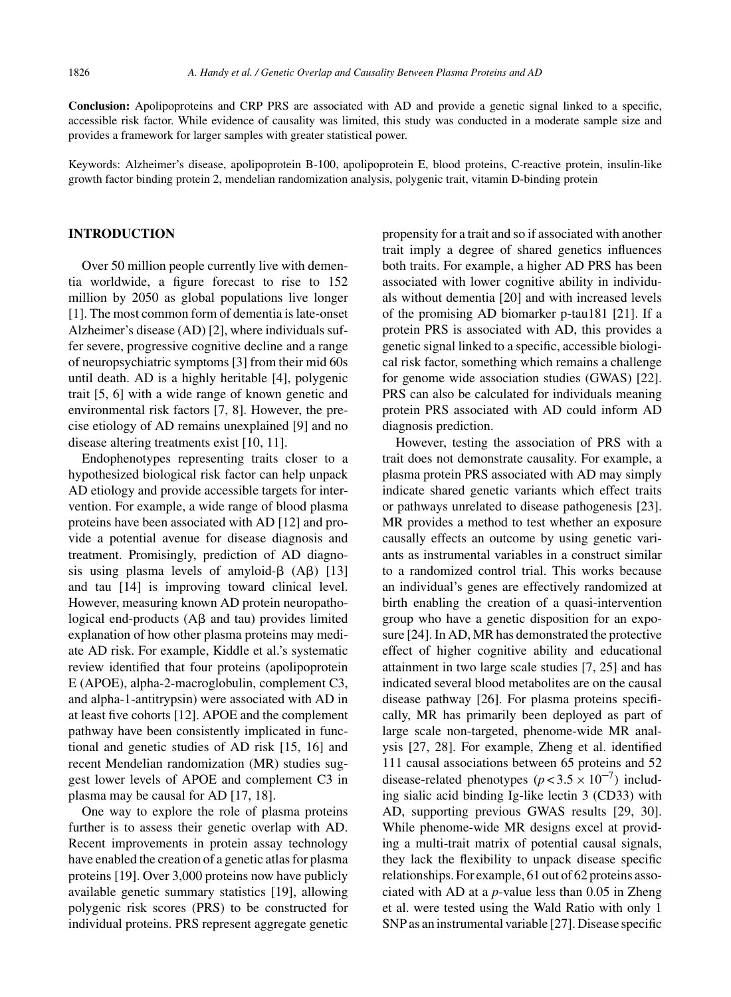**Conclusion:** Apolipoproteins and CRP PRS are associated with AD and provide a genetic signal linked to a specific, accessible risk factor. While evidence of causality was limited, this study was conducted in a moderate sample size and provides a framework for larger samples with greater statistical power.

Keywords: Alzheimer's disease, apolipoprotein B-100, apolipoprotein E, blood proteins, C-reactive protein, insulin-like growth factor binding protein 2, mendelian randomization analysis, polygenic trait, vitamin D-binding protein

## **INTRODUCTION**

Over 50 million people currently live with dementia worldwide, a figure forecast to rise to 152 million by 2050 as global populations live longer [1]. The most common form of dementia is late-onset Alzheimer's disease (AD) [2], where individuals suffer severe, progressive cognitive decline and a range of neuropsychiatric symptoms [3] from their mid 60s until death. AD is a highly heritable [4], polygenic trait [5, 6] with a wide range of known genetic and environmental risk factors [7, 8]. However, the precise etiology of AD remains unexplained [9] and no disease altering treatments exist [10, 11].

Endophenotypes representing traits closer to a hypothesized biological risk factor can help unpack AD etiology and provide accessible targets for intervention. For example, a wide range of blood plasma proteins have been associated with AD [12] and provide a potential avenue for disease diagnosis and treatment. Promisingly, prediction of AD diagnosis using plasma levels of amyloid- $\beta$  (A $\beta$ ) [13] and tau [14] is improving toward clinical level. However, measuring known AD protein neuropathological end-products  $(A\beta$  and tau) provides limited explanation of how other plasma proteins may mediate AD risk. For example, Kiddle et al.'s systematic review identified that four proteins (apolipoprotein E (APOE), alpha-2-macroglobulin, complement C3, and alpha-1-antitrypsin) were associated with AD in at least five cohorts [12]. APOE and the complement pathway have been consistently implicated in functional and genetic studies of AD risk [15, 16] and recent Mendelian randomization (MR) studies suggest lower levels of APOE and complement C3 in plasma may be causal for AD [17, 18].

One way to explore the role of plasma proteins further is to assess their genetic overlap with AD. Recent improvements in protein assay technology have enabled the creation of a genetic atlas for plasma proteins [19]. Over 3,000 proteins now have publicly available genetic summary statistics [19], allowing polygenic risk scores (PRS) to be constructed for individual proteins. PRS represent aggregate genetic

propensity for a trait and so if associated with another trait imply a degree of shared genetics influences both traits. For example, a higher AD PRS has been associated with lower cognitive ability in individuals without dementia [20] and with increased levels of the promising AD biomarker p-tau181 [21]. If a protein PRS is associated with AD, this provides a genetic signal linked to a specific, accessible biological risk factor, something which remains a challenge for genome wide association studies (GWAS) [22]. PRS can also be calculated for individuals meaning protein PRS associated with AD could inform AD diagnosis prediction.

However, testing the association of PRS with a trait does not demonstrate causality. For example, a plasma protein PRS associated with AD may simply indicate shared genetic variants which effect traits or pathways unrelated to disease pathogenesis [23]. MR provides a method to test whether an exposure causally effects an outcome by using genetic variants as instrumental variables in a construct similar to a randomized control trial. This works because an individual's genes are effectively randomized at birth enabling the creation of a quasi-intervention group who have a genetic disposition for an exposure [24]. In AD, MR has demonstrated the protective effect of higher cognitive ability and educational attainment in two large scale studies [7, 25] and has indicated several blood metabolites are on the causal disease pathway [26]. For plasma proteins specifically, MR has primarily been deployed as part of large scale non-targeted, phenome-wide MR analysis [27, 28]. For example, Zheng et al. identified 111 causal associations between 65 proteins and 52 disease-related phenotypes  $(p < 3.5 \times 10^{-7})$  including sialic acid binding Ig-like lectin 3 (CD33) with AD, supporting previous GWAS results [29, 30]. While phenome-wide MR designs excel at providing a multi-trait matrix of potential causal signals, they lack the flexibility to unpack disease specific relationships. For example, 61 out of 62 proteins associated with AD at a *p*-value less than 0.05 in Zheng et al. were tested using the Wald Ratio with only 1 SNP as an instrumental variable [27]. Disease specific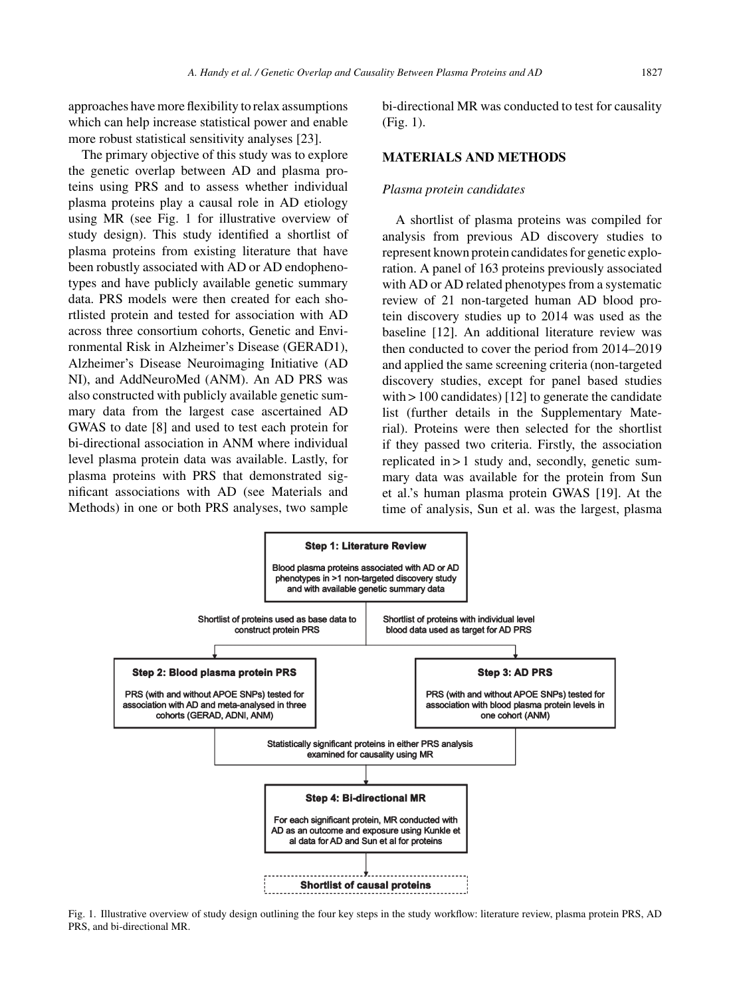approaches have more flexibility to relax assumptions which can help increase statistical power and enable more robust statistical sensitivity analyses [23].

The primary objective of this study was to explore the genetic overlap between AD and plasma proteins using PRS and to assess whether individual plasma proteins play a causal role in AD etiology using MR (see Fig. 1 for illustrative overview of study design). This study identified a shortlist of plasma proteins from existing literature that have been robustly associated with AD or AD endophenotypes and have publicly available genetic summary data. PRS models were then created for each shortlisted protein and tested for association with AD across three consortium cohorts, Genetic and Environmental Risk in Alzheimer's Disease (GERAD1), Alzheimer's Disease Neuroimaging Initiative (AD NI), and AddNeuroMed (ANM). An AD PRS was also constructed with publicly available genetic summary data from the largest case ascertained AD GWAS to date [8] and used to test each protein for bi-directional association in ANM where individual level plasma protein data was available. Lastly, for plasma proteins with PRS that demonstrated significant associations with AD (see Materials and Methods) in one or both PRS analyses, two sample

bi-directional MR was conducted to test for causality (Fig. 1).

## **MATERIALS AND METHODS**

#### *Plasma protein candidates*

A shortlist of plasma proteins was compiled for analysis from previous AD discovery studies to represent known protein candidates for genetic exploration. A panel of 163 proteins previously associated with AD or AD related phenotypes from a systematic review of 21 non-targeted human AD blood protein discovery studies up to 2014 was used as the baseline [12]. An additional literature review was then conducted to cover the period from 2014–2019 and applied the same screening criteria (non-targeted discovery studies, except for panel based studies with > 100 candidates) [12] to generate the candidate list (further details in the Supplementary Material). Proteins were then selected for the shortlist if they passed two criteria. Firstly, the association replicated in > 1 study and, secondly, genetic summary data was available for the protein from Sun et al.'s human plasma protein GWAS [19]. At the time of analysis, Sun et al. was the largest, plasma



Fig. 1. Illustrative overview of study design outlining the four key steps in the study workflow: literature review, plasma protein PRS, AD PRS, and bi-directional MR.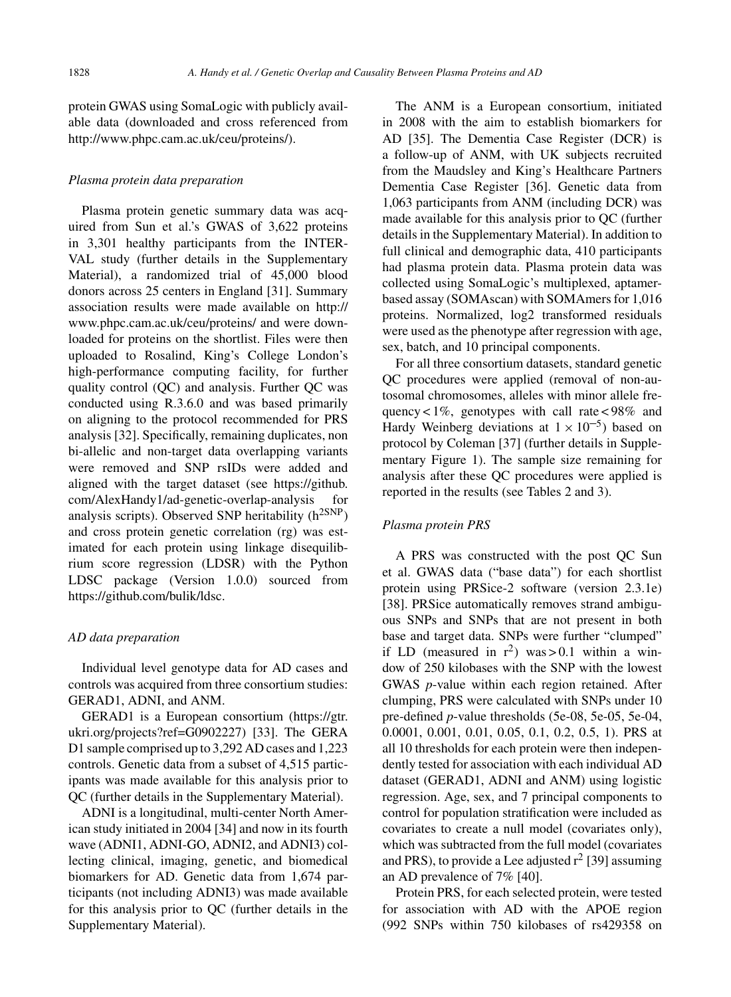protein GWAS using SomaLogic with publicly available data (downloaded and cross referenced from [http://www.phpc.cam.ac.uk/ceu/proteins/\)](http://www.phpc.cam.ac.uk/ceu/proteins/).

#### *Plasma protein data preparation*

Plasma protein genetic summary data was acquired from Sun et al.'s GWAS of 3,622 proteins in 3,301 healthy participants from the INTER-VAL study (further details in the Supplementary Material), a randomized trial of 45,000 blood donors across 25 centers in England [31]. Summary association results were made available on http:// www.phpc.cam.ac.uk/ceu/proteins/ and were downloaded for proteins on the shortlist. Files were then uploaded to Rosalind, King's College London's high-performance computing facility, for further quality control (QC) and analysis. Further QC was conducted using R.3.6.0 and was based primarily on aligning to the protocol recommended for PRS analysis [32]. Specifically, remaining duplicates, non bi-allelic and non-target data overlapping variants were removed and SNP rsIDs were added and aligned with the target dataset (see https://github. com/AlexHandy1/ad-genetic-overlap-analysis for analysis scripts). Observed SNP heritability  $(h^{2SNP})$ and cross protein genetic correlation (rg) was estimated for each protein using linkage disequilibrium score regression (LDSR) with the Python LDSC package (Version 1.0.0) sourced from <https://github.com/bulik/ldsc>.

#### *AD data preparation*

Individual level genotype data for AD cases and controls was acquired from three consortium studies: GERAD1, ADNI, and ANM.

GERAD1 is a European consortium (https://gtr. ukri.org/projects?ref=G0902227) [33]. The GERA D1 sample comprised up to 3,292 AD cases and 1,223 controls. Genetic data from a subset of 4,515 participants was made available for this analysis prior to QC (further details in the Supplementary Material).

ADNI is a longitudinal, multi-center North American study initiated in 2004 [34] and now in its fourth wave (ADNI1, ADNI-GO, ADNI2, and ADNI3) collecting clinical, imaging, genetic, and biomedical biomarkers for AD. Genetic data from 1,674 participants (not including ADNI3) was made available for this analysis prior to QC (further details in the Supplementary Material).

The ANM is a European consortium, initiated in 2008 with the aim to establish biomarkers for AD [35]. The Dementia Case Register (DCR) is a follow-up of ANM, with UK subjects recruited from the Maudsley and King's Healthcare Partners Dementia Case Register [36]. Genetic data from 1,063 participants from ANM (including DCR) was made available for this analysis prior to QC (further details in the Supplementary Material). In addition to full clinical and demographic data, 410 participants had plasma protein data. Plasma protein data was collected using SomaLogic's multiplexed, aptamer[based assay \(SOMAscan\) wit](http://www.phpc.cam.ac.uk/ceu/proteins/)h SOMAmers for 1,016 proteins. Normalized, log2 transformed residuals were used as the phenotype after regression with age, sex, batch, and 10 principal components.

For all three consortium datasets, standard genetic QC procedures were applied (removal of non-autosomal chromosomes, alleles with minor allele frequency <  $1\%$ , genotypes with call rate < 98% and Hardy Weinberg deviations at  $1 \times 10^{-5}$ ) based on protocol by Coleman [37] (further details in Supplementary Figure 1). The sample size remaining for [analysis after these QC procedures wer](https://github.com/AlexHandy1/ad-genetic-overlap-analysis)e applied is reported in the results (see Tables 2 and 3).

# *Plasma protein PRS*

A PRS was constructed with the post QC Sun et al. GWAS data ("base data") for each shortlist protein using PRSice-2 software (version 2.3.1e) [38]. PRSice automatically removes strand ambiguous SNPs and SNPs that are not present in both base and target data. SNPs were further "clumped" if LD (measured in  $r^2$ ) was > 0.1 within a window of 250 kilobases with the SNP with the lowest GWAS *p*-value within each region retained. After clumping, PRS were calculated with SNPs under 10 pre-defined *p*[-value thresh](https://gtr.ukri.org/projects?ref=G0902227)olds (5e-08, 5e-05, 5e-04, 0.0001, 0.001, 0.01, 0.05, 0.1, 0.2, 0.5, 1). PRS at all 10 thresholds for each protein were then independently tested for association with each individual AD dataset (GERAD1, ADNI and ANM) using logistic regression. Age, sex, and 7 principal components to control for population stratification were included as covariates to create a null model (covariates only), which was subtracted from the full model (covariates and PRS), to provide a Lee adjusted  $r^2$  [39] assuming an AD prevalence of 7% [40].

Protein PRS, for each selected protein, were tested for association with AD with the APOE region (992 SNPs within 750 kilobases of rs429358 on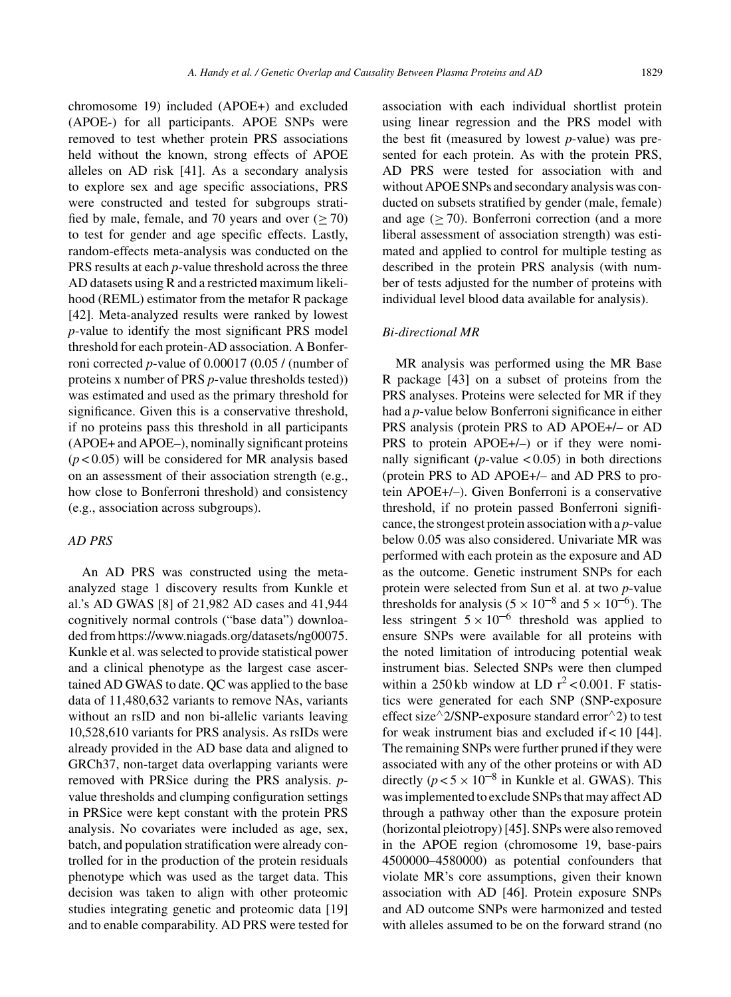chromosome 19) included (APOE+) and excluded (APOE-) for all participants. APOE SNPs were removed to test whether protein PRS associations held without the known, strong effects of APOE alleles on AD risk [41]. As a secondary analysis to explore sex and age specific associations, PRS were constructed and tested for subgroups stratified by male, female, and 70 years and over  $(\geq 70)$ to test for gender and age specific effects. Lastly, random-effects meta-analysis was conducted on the PRS results at each *p*-value threshold across the three AD datasets using R and a restricted maximum likelihood (REML) estimator from the metafor R package [42]. Meta-analyzed results were ranked by lowest *p*-value to identify the most significant PRS model threshold for each protein-AD association. A Bonferroni corrected *p*-value of 0.00017 (0.05 / (number of proteins x number of PRS *p*-value thresholds tested)) was estimated and used as the primary threshold for significance. Given this is a conservative threshold, if no proteins pass this threshold in all participants (APOE+ and APOE–), nominally significant proteins  $(p<0.05)$  will be considered for MR analysis based on an assessment of their association strength (e.g., how close to Bonferroni threshold) and consistency (e.g., association across subgroups).

### *AD PRS*

An AD PRS was constructed using the metaanalyzed stage 1 discovery results from Kunkle et al.'s AD GWAS [8] of 21,982 AD cases and 41,944 cognitively normal controls ("base data") downloaded from [https://www.niagads.org/datasets/ng00075.](https://www.niagads.org/datasets/ng00075) Kunkle et al. was selected to provide statistical power and a clinical phenotype as the largest case ascertained AD GWAS to date. QC was applied to the base data of 11,480,632 variants to remove NAs, variants without an rsID and non bi-allelic variants leaving 10,528,610 variants for PRS analysis. As rsIDs were already provided in the AD base data and aligned to GRCh37, non-target data overlapping variants were removed with PRSice during the PRS analysis. *p*value thresholds and clumping configuration settings in PRSice were kept constant with the protein PRS analysis. No covariates were included as age, sex, batch, and population stratification were already controlled for in the production of the protein residuals phenotype which was used as the target data. This decision was taken to align with other proteomic studies integrating genetic and proteomic data [19] and to enable comparability. AD PRS were tested for

association with each individual shortlist protein using linear regression and the PRS model with the best fit (measured by lowest *p*-value) was presented for each protein. As with the protein PRS, AD PRS were tested for association with and without APOE SNPs and secondary analysis was conducted on subsets stratified by gender (male, female) and age (≥ 70). Bonferroni correction (and a more liberal assessment of association strength) was estimated and applied to control for multiple testing as described in the protein PRS analysis (with number of tests adjusted for the number of proteins with individual level blood data available for analysis).

## *Bi-directional MR*

MR analysis was performed using the MR Base R package [43] on a subset of proteins from the PRS analyses. Proteins were selected for MR if they had a *p*-value below Bonferroni significance in either PRS analysis (protein PRS to AD APOE+/– or AD PRS to protein APOE+/–) or if they were nominally significant ( $p$ -value < 0.05) in both directions (protein PRS to AD APOE+/– and AD PRS to protein APOE+/–). Given Bonferroni is a conservative threshold, if no protein passed Bonferroni significance, the strongest protein association with a *p*-value below 0.05 was also considered. Univariate MR was performed with each protein as the exposure and AD as the outcome. Genetic instrument SNPs for each protein were selected from Sun et al. at two *p*-value thresholds for analysis  $(5 \times 10^{-8} \text{ and } 5 \times 10^{-6})$ . The less stringent  $5 \times 10^{-6}$  threshold was applied to ensure SNPs were available for all proteins with the noted limitation of introducing potential weak instrument bias. Selected SNPs were then clumped within a 250 kb window at LD  $r^2$  < 0.001. F statistics were generated for each SNP (SNP-exposure effect size $\land$ 2/SNP-exposure standard error $\land$ 2) to test for weak instrument bias and excluded if  $< 10$  [44]. The remaining SNPs were further pruned if they were associated with any of the other proteins or with AD directly ( $p < 5 \times 10^{-8}$  in Kunkle et al. GWAS). This was implemented to exclude SNPs that may affect AD through a pathway other than the exposure protein (horizontal pleiotropy) [45]. SNPs were also removed in the APOE region (chromosome 19, base-pairs 4500000–4580000) as potential confounders that violate MR's core assumptions, given their known association with AD [46]. Protein exposure SNPs and AD outcome SNPs were harmonized and tested with alleles assumed to be on the forward strand (no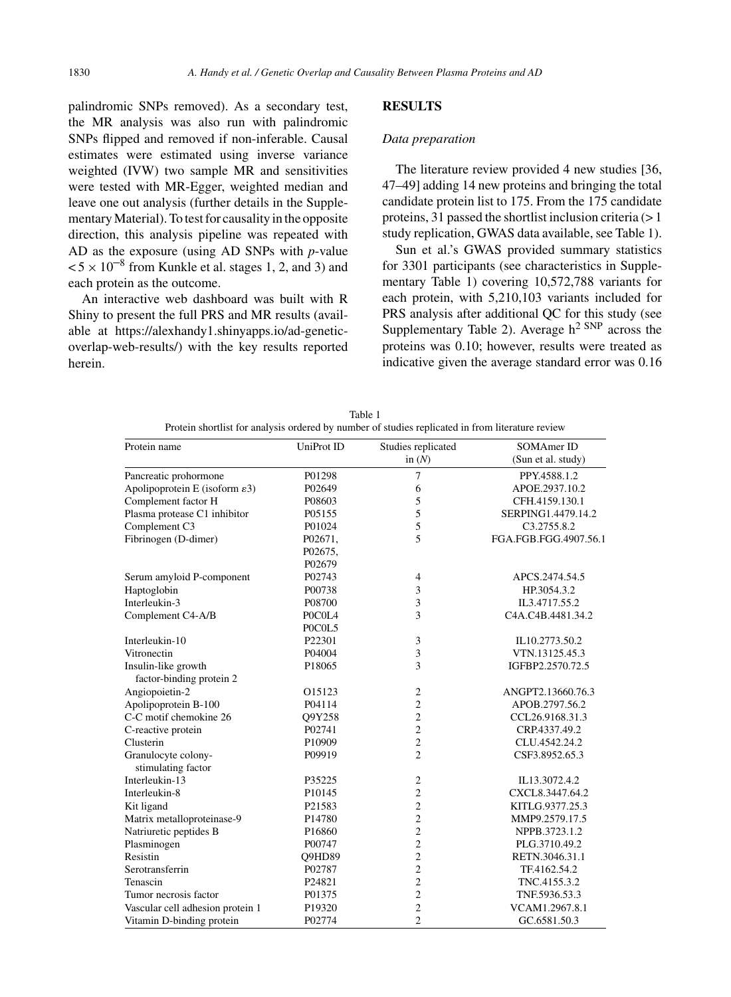palindromic SNPs removed). As a secondary test, the MR analysis was also run with palindromic SNPs flipped and removed if non-inferable. Causal estimates were estimated using inverse variance weighted (IVW) two sample MR and sensitivities were tested with MR-Egger, weighted median and leave one out analysis (further details in the Supplementary Material). To test for causality in the opposite direction, this analysis pipeline was repeated with AD as the exposure (using AD SNPs with *p*-value  $< 5 \times 10^{-8}$  from Kunkle et al. stages 1, 2, and 3) and each protein as the outcome.

An interactive web dashboard was built with R Shiny to present the full PRS and MR results (available at [https://alexhandy1.shinyapps.io/ad-genetic](https://alexhandy1.shinyapps.io/ad-genetic-overlap-web-results/)overlap-web-results/) with the key results reported herein.

#### **RESULTS**

## *Data preparation*

The literature review provided 4 new studies [36, 47–49] adding 14 new proteins and bringing the total candidate protein list to 175. From the 175 candidate proteins, 31 passed the shortlist inclusion criteria  $(>1)$ study replication, GWAS data available, see Table 1).

Sun et al.'s GWAS provided summary statistics for 3301 participants (see characteristics in Supplementary Table 1) covering 10,572,788 variants for each protein, with 5,210,103 variants included for PRS analysis after additional QC for this study (see Supplementary Table 2). Average  $h^2$  SNP across the proteins was 0.10; however, results were treated as indicative given the average standard error was 0.16

| Protein name                               | UniProt ID         | Studies replicated | SOMAmer ID            |  |
|--------------------------------------------|--------------------|--------------------|-----------------------|--|
|                                            |                    | in $(N)$           | (Sun et al. study)    |  |
| Pancreatic prohormone                      | P01298             | $\overline{7}$     | PPY.4588.1.2          |  |
| Apolipoprotein E (isoform $\varepsilon$ 3) | P02649             | 6                  | APOE.2937.10.2        |  |
| Complement factor H                        | P08603             | 5                  | CFH.4159.130.1        |  |
| Plasma protease C1 inhibitor               | P05155             | 5                  | SERPING1.4479.14.2    |  |
| Complement C3                              | P01024             | 5                  | C3.2755.8.2           |  |
| Fibrinogen (D-dimer)                       | P02671,            | 5                  | FGA.FGB.FGG.4907.56.1 |  |
|                                            | P02675,            |                    |                       |  |
|                                            | P02679             |                    |                       |  |
| Serum amyloid P-component                  | P02743             | $\overline{4}$     | APCS.2474.54.5        |  |
| Haptoglobin                                | P00738             | 3                  | HP.3054.3.2           |  |
| Interleukin-3                              | P08700             | 3                  | IL3.4717.55.2         |  |
| Complement C4-A/B                          | POCOL4             | $\overline{3}$     | C4A.C4B.4481.34.2     |  |
|                                            | POCOL5             |                    |                       |  |
| Interleukin-10                             | P22301             | 3                  | IL10.2773.50.2        |  |
| Vitronectin                                | P04004             | 3                  | VTN.13125.45.3        |  |
| Insulin-like growth                        | P <sub>18065</sub> | 3                  | IGFBP2.2570.72.5      |  |
| factor-binding protein 2                   |                    |                    |                       |  |
| Angiopoietin-2                             | O15123             | $\overline{2}$     | ANGPT2.13660.76.3     |  |
| Apolipoprotein B-100                       | P04114             | $\overline{c}$     | APOB.2797.56.2        |  |
| C-C motif chemokine 26                     | O9Y258             | $\overline{c}$     | CCL26.9168.31.3       |  |
| C-reactive protein                         | P02741             | $\overline{c}$     | CRP.4337.49.2         |  |
| Clusterin                                  | P10909             | $\overline{c}$     | CLU.4542.24.2         |  |
| Granulocyte colony-<br>stimulating factor  | P09919             | $\overline{c}$     | CSF3.8952.65.3        |  |
| Interleukin-13                             | P35225             | $\overline{c}$     | IL13.3072.4.2         |  |
| Interleukin-8                              | P10145             | $\overline{c}$     | CXCL8.3447.64.2       |  |
|                                            | P21583             | $\overline{c}$     | KITLG.9377.25.3       |  |
| Kit ligand<br>Matrix metalloproteinase-9   | P14780             | $\overline{c}$     | MMP9.2579.17.5        |  |
| Natriuretic peptides B                     | P16860             | $\overline{2}$     | NPPB.3723.1.2         |  |
|                                            | P00747             | $\overline{c}$     | PLG.3710.49.2         |  |
| Plasminogen<br>Resistin                    |                    | $\overline{c}$     |                       |  |
|                                            | Q9HD89             |                    | RETN.3046.31.1        |  |
| Serotransferrin                            | P02787             | $\overline{c}$     | TF.4162.54.2          |  |
| Tenascin                                   | P <sub>24821</sub> | $\overline{c}$     | TNC.4155.3.2          |  |
| Tumor necrosis factor                      | P01375             | $\overline{c}$     | TNF.5936.53.3         |  |
| Vascular cell adhesion protein 1           | P19320             | $\overline{c}$     | VCAM1.2967.8.1        |  |
| Vitamin D-binding protein                  | P02774             | $\overline{2}$     | GC.6581.50.3          |  |

Table 1 Protein shortlist for analysis ordered by number of studies replicated in from literature review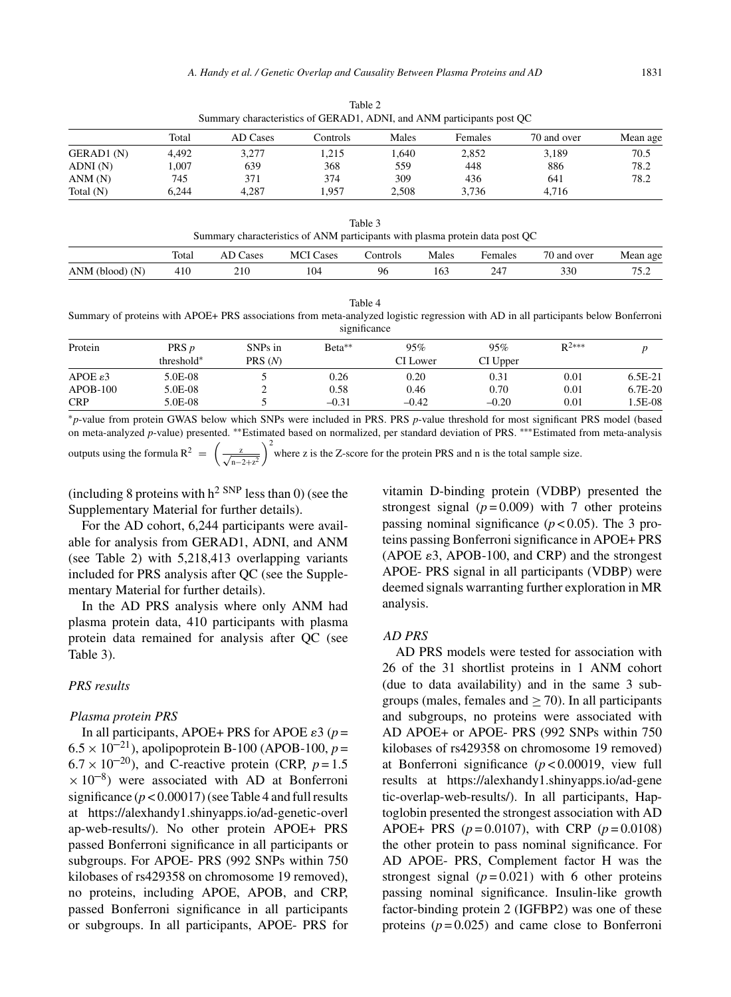|             | Summary Characteristics of GERADT, ADIVI, and Arvivi participants post OC |          |          |       |                |             |          |  |  |
|-------------|---------------------------------------------------------------------------|----------|----------|-------|----------------|-------------|----------|--|--|
|             | Total                                                                     | AD Cases | Controls | Males | <b>Females</b> | 70 and over | Mean age |  |  |
| GERAD1 (N)  | 4.492                                                                     | 3.277    | 1.215    | . 640 | 2.852          | 3.189       | 70.5     |  |  |
| ADNI(N)     | .007                                                                      | 639      | 368      | 559   | 448            | 886         | 78.2     |  |  |
| ANM(N)      | 745                                                                       | 371      | 374      | 309   | 436            | 641         | 78.2     |  |  |
| Total $(N)$ | 6.244                                                                     | 4.287    | 1.957    | 2.508 | 3.736          | 4.716       |          |  |  |

Table 2 Summary characteristics of GERAD1, ADNI, and ANM participants post QC

| Table 3                                                                      |
|------------------------------------------------------------------------------|
| Summary characteristics of ANM participants with plasma protein data post QC |

|                      | Total | cases<br>ட் | MCI<br>Cases    | ∠ontrols | Males | Females | $70$ and $\mu$<br>over | Mean<br>age |
|----------------------|-------|-------------|-----------------|----------|-------|---------|------------------------|-------------|
| ANM<br>(N)<br>(blood | 41 U  | 210<br>41 V | 10 <sup>4</sup> | 96       | 163   | ን 47    | າາດ<br>J3U.            | 75<br>ے ۔ ۔ |

|--|--|

Summary of proteins with APOE+ PRS associations from meta-analyzed logistic regression with AD in all participants below Bonferroni significance

| Protein              | PRS <i>p</i> | SNPs in | Beta**  | 95%      | 95%      | $R^{2***}$ |           |
|----------------------|--------------|---------|---------|----------|----------|------------|-----------|
|                      | threshold*   | PRS(N)  |         | CI Lower | CI Upper |            |           |
| APOE $\varepsilon$ 3 | 5.0E-08      |         | 0.26    | 0.20     | 0.31     | 0.01       | 6.5E-21   |
| $APOB-100$           | 5.0E-08      |         | 0.58    | 0.46     | 0.70     | 0.01       | $6.7E-20$ |
| <b>CRP</b>           | 5.0E-08      |         | $-0.31$ | $-0.42$  | $-0.20$  | 0.01       | .5E-08    |

∗*p*-value from protein GWAS below which SNPs were included in PRS. PRS *p*-value threshold for most significant PRS model (based on meta-analyzed *p*-value) presented. ∗∗Estimated based on normalized, per standard deviation of PRS. ∗∗∗Estimated from meta-analysis

outputs using the formula  $R^2 = \left(\frac{z}{\sqrt{n-2+z^2}}\right)$  $\int_{0}^{2}$  where z is the Z-score for the protein PRS and n is the total sample size.

(including 8 proteins with  $h^2$  SNP less than 0) (see the Supplementary Material for further details).

For the AD cohort, 6,244 participants were available for analysis from GERAD1, ADNI, and ANM (see Table 2) with 5,218,413 overlapping variants included for PRS analysis after QC (see the Supplementary Material for further details).

In the AD PRS analysis where only ANM had plasma protein data, 410 participants with plasma protein data remained for analysis after QC (see Table 3).

## *PRS results*

#### *Plasma protein PRS*

In all participants, APOE+ PRS for APOE  $\varepsilon$ 3 (*p* =  $6.5 \times 10^{-21}$ ), apolipoprotein B-100 (APOB-100,  $p =$  $6.7 \times 10^{-20}$ ), and C-reactive protein (CRP,  $p = 1.5$ )  $\times 10^{-8}$ ) were associated with AD at Bonferroni significance  $(p < 0.00017)$  (see Table 4 and full results at [https://alexhandy1.shinyapps.io/ad-genetic-overl](https://alexhandy1.shinyapps.io/ad-genetic-overlap-web-results/) ap-web-results/). No other protein APOE+ PRS passed Bonferroni significance in all participants or subgroups. For APOE- PRS (992 SNPs within 750 kilobases of rs429358 on chromosome 19 removed), no proteins, including APOE, APOB, and CRP, passed Bonferroni significance in all participants or subgroups. In all participants, APOE- PRS for vitamin D-binding protein (VDBP) presented the strongest signal  $(p=0.009)$  with 7 other proteins passing nominal significance  $(p < 0.05)$ . The 3 proteins passing Bonferroni significance in APOE+ PRS (APOE  $\varepsilon$ 3, APOB-100, and CRP) and the strongest APOE- PRS signal in all participants (VDBP) were deemed signals warranting further exploration in MR analysis.

#### *AD PRS*

AD PRS models were tested for association with 26 of the 31 shortlist proteins in 1 ANM cohort (due to data availability) and in the same 3 subgroups (males, females and  $>$  70). In all participants and subgroups, no proteins were associated with AD APOE+ or APOE- PRS (992 SNPs within 750 kilobases of rs429358 on chromosome 19 removed) at Bonferroni significance (*p* < 0.00019, view full results at [https://alexhandy1.shinyapps.io/ad-gene](https://alexhandy1.shinyapps.io/ad-genetic-overlap-web-results/) tic-overlap-web-results/). In all participants, Haptoglobin presented the strongest association with AD APOE+ PRS (*p* = 0.0107), with CRP (*p* = 0.0108) the other protein to pass nominal significance. For AD APOE- PRS, Complement factor H was the strongest signal  $(p=0.021)$  with 6 other proteins passing nominal significance. Insulin-like growth factor-binding protein 2 (IGFBP2) was one of these proteins  $(p=0.025)$  and came close to Bonferroni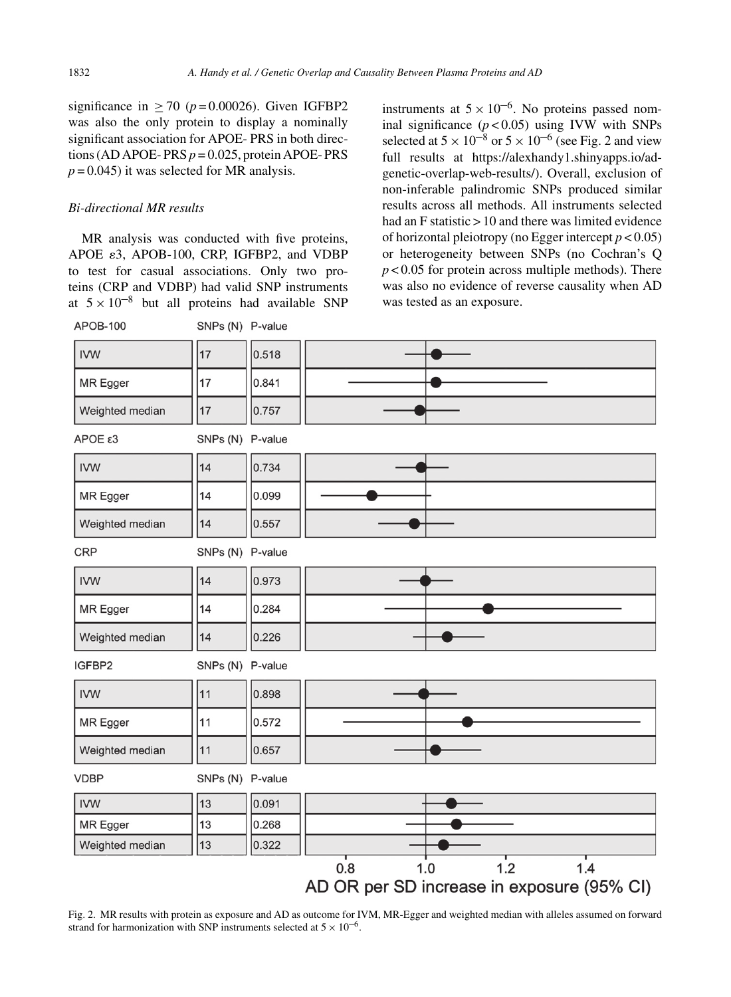significance in  $> 70$  ( $p = 0.00026$ ). Given IGFBP2 was also the only protein to display a nominally significant association for APOE- PRS in both directions (AD APOE- PRS  $p = 0.025$ , protein APOE- PRS  $p = 0.045$ ) it was selected for MR analysis.

# *Bi-directional MR results*

MR analysis was conducted with five proteins, APOE  $\varepsilon$ 3, APOB-100, CRP, IGFBP2, and VDBP to test for casual associations. Only two proteins (CRP and VDBP) had valid SNP instruments at  $5 \times 10^{-8}$  but all proteins had available SNP

instruments at  $5 \times 10^{-6}$ . No proteins passed nominal significance  $(p < 0.05)$  using IVW with SNPs selected at  $5 \times 10^{-8}$  or  $5 \times 10^{-6}$  (see Fig. 2 and view full results at [https://alexhandy1.shinyapps.io/ad](https://alexhandy1.shinyapps.io/ad-genetic-overlap-web-results/)genetic-overlap-web-results/). Overall, exclusion of non-inferable palindromic SNPs produced similar results across all methods. All instruments selected had an  $F$  statistic  $> 10$  and there was limited evidence of horizontal pleiotropy (no Egger intercept *p* < 0.05) or heterogeneity between SNPs (no Cochran's Q *p* < 0.05 for protein across multiple methods). There was also no evidence of reverse causality when AD was tested as an exposure.



Fig. 2. MR results with protein as exposure and AD as outcome for IVM, MR-Egger and weighted median with alleles assumed on forward strand for harmonization with SNP instruments selected at  $5 \times 10^{-6}$ .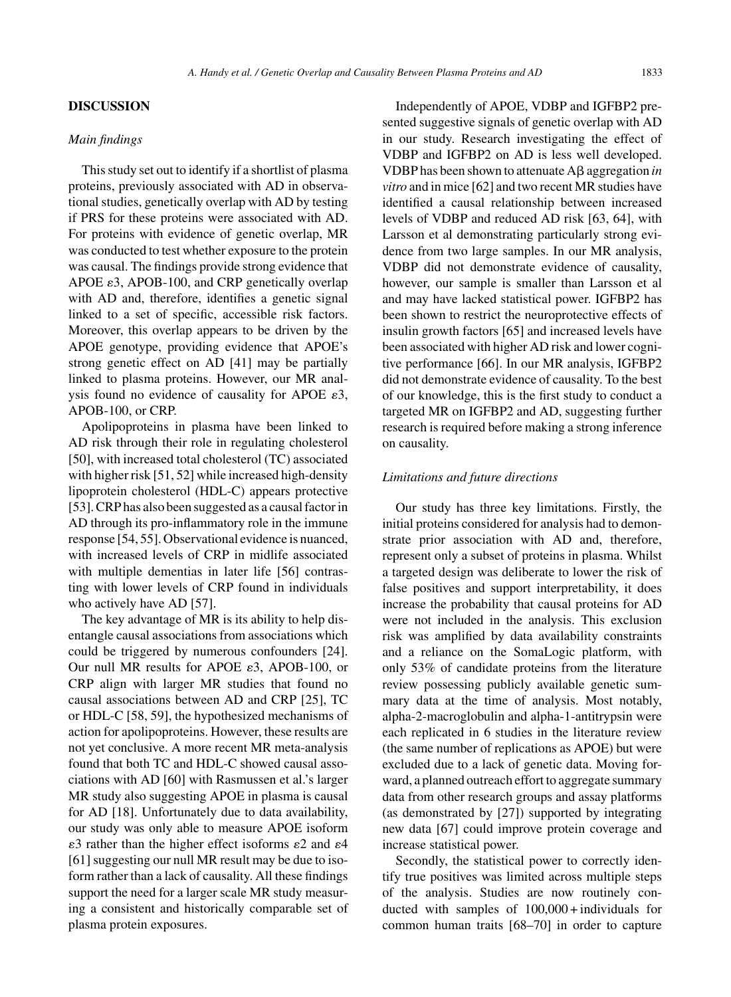## **DISCUSSION**

## *Main findings*

This study set out to identify if a shortlist of plasma proteins, previously associated with AD in observational studies, genetically overlap with AD by testing if PRS for these proteins were associated with AD. For proteins with evidence of genetic overlap, MR was conducted to test whether exposure to the protein was causal. The findings provide strong evidence that APOE  $\varepsilon$ 3, APOB-100, and CRP genetically overlap with AD and, therefore, identifies a genetic signal linked to a set of specific, accessible risk factors. Moreover, this overlap appears to be driven by the APOE genotype, providing evidence that APOE's strong genetic effect on AD [41] may be partially linked to plasma proteins. However, our MR analysis found no evidence of causality for APOE  $\varepsilon$ 3, APOB-100, or CRP.

Apolipoproteins in plasma have been linked to AD risk through their role in regulating cholesterol [50], with increased total cholesterol (TC) associated with higher risk [51, 52] while increased high-density lipoprotein cholesterol (HDL-C) appears protective [53]. CRP has also been suggested as a causal factor in AD through its pro-inflammatory role in the immune response [54, 55]. Observational evidence is nuanced, with increased levels of CRP in midlife associated with multiple dementias in later life [56] contrasting with lower levels of CRP found in individuals who actively have AD [57].

The key advantage of MR is its ability to help disentangle causal associations from associations which could be triggered by numerous confounders [24]. Our null MR results for APOE  $\varepsilon$ 3, APOB-100, or CRP align with larger MR studies that found no causal associations between AD and CRP [25], TC or HDL-C [58, 59], the hypothesized mechanisms of action for apolipoproteins. However, these results are not yet conclusive. A more recent MR meta-analysis found that both TC and HDL-C showed causal associations with AD [60] with Rasmussen et al.'s larger MR study also suggesting APOE in plasma is causal for AD [18]. Unfortunately due to data availability, our study was only able to measure APOE isoform  $\varepsilon$ 3 rather than the higher effect isoforms  $\varepsilon$ 2 and  $\varepsilon$ 4 [61] suggesting our null MR result may be due to isoform rather than a lack of causality. All these findings support the need for a larger scale MR study measuring a consistent and historically comparable set of plasma protein exposures.

Independently of APOE, VDBP and IGFBP2 presented suggestive signals of genetic overlap with AD in our study. Research investigating the effect of VDBP and IGFBP2 on AD is less well developed. VDBP has been shown to attenuate A aggregation *in vitro* and in mice [62] and two recent MR studies have identified a causal relationship between increased levels of VDBP and reduced AD risk [63, 64], with Larsson et al demonstrating particularly strong evidence from two large samples. In our MR analysis, VDBP did not demonstrate evidence of causality, however, our sample is smaller than Larsson et al and may have lacked statistical power. IGFBP2 has been shown to restrict the neuroprotective effects of insulin growth factors [65] and increased levels have been associated with higher AD risk and lower cognitive performance [66]. In our MR analysis, IGFBP2 did not demonstrate evidence of causality. To the best of our knowledge, this is the first study to conduct a targeted MR on IGFBP2 and AD, suggesting further research is required before making a strong inference on causality.

#### *Limitations and future directions*

Our study has three key limitations. Firstly, the initial proteins considered for analysis had to demonstrate prior association with AD and, therefore, represent only a subset of proteins in plasma. Whilst a targeted design was deliberate to lower the risk of false positives and support interpretability, it does increase the probability that causal proteins for AD were not included in the analysis. This exclusion risk was amplified by data availability constraints and a reliance on the SomaLogic platform, with only 53% of candidate proteins from the literature review possessing publicly available genetic summary data at the time of analysis. Most notably, alpha-2-macroglobulin and alpha-1-antitrypsin were each replicated in 6 studies in the literature review (the same number of replications as APOE) but were excluded due to a lack of genetic data. Moving forward, a planned outreach effort to aggregate summary data from other research groups and assay platforms (as demonstrated by [27]) supported by integrating new data [67] could improve protein coverage and increase statistical power.

Secondly, the statistical power to correctly identify true positives was limited across multiple steps of the analysis. Studies are now routinely conducted with samples of 100,000 + individuals for common human traits [68–70] in order to capture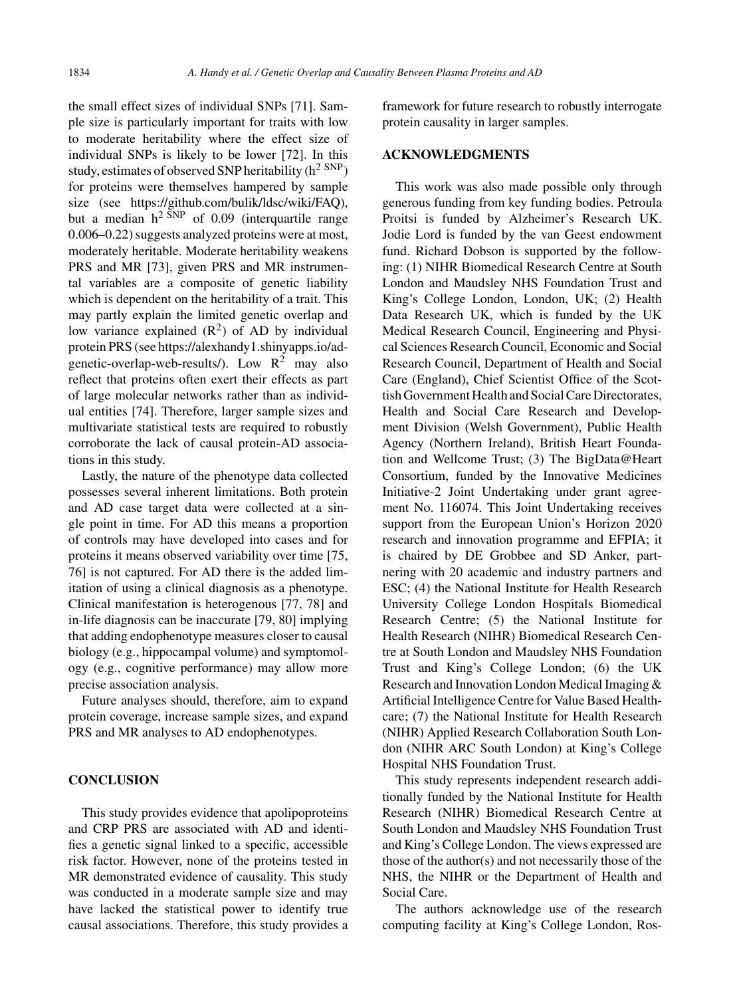the small effect sizes of individual SNPs [71]. Sample size is particularly important for traits with low to moderate heritability where the effect size of individual SNPs is likely to be lower [72]. In this study, estimates of observed SNP heritability  $(h^2 SNP)$ for proteins were themselves hampered by sample size (see [https://github.com/bulik/ldsc/wiki/FAQ\)](https://github.com/bulik/ldsc/wiki/FAQ), but a median  $h^2$ <sup>SNP</sup> of 0.09 (interquartile range 0.006–0.22) suggests analyzed proteins were at most, moderately heritable. Moderate heritability weakens PRS and MR [73], given PRS and MR instrumental variables are a composite of genetic liability which is dependent on the heritability of a trait. This may partly explain the limited genetic overlap and low variance explained  $(R^2)$  of AD by individual protein PRS (see [https://alexhandy1.shinyapps.io/ad](https://alexhandy1.shinyapps.io/ad-genetic-overlap-web-results/)genetic-overlap-web-results/). Low  $R^2$  may also reflect that proteins often exert their effects as part of large molecular networks rather than as individual entities [74]. Therefore, larger sample sizes and multivariate statistical tests are required to robustly corroborate the lack of causal protein-AD associations in this study.

Lastly, the nature of the phenotype data collected possesses several inherent limitations. Both protein and AD case target data were collected at a single point in time. For AD this means a proportion of controls may have developed into cases and for proteins it means observed variability over time [75, 76] is not captured. For AD there is the added limitation of using a clinical diagnosis as a phenotype. Clinical manifestation is heterogenous [77, 78] and in-life diagnosis can be inaccurate [79, 80] implying that adding endophenotype measures closer to causal biology (e.g., hippocampal volume) and symptomology (e.g., cognitive performance) may allow more precise association analysis.

Future analyses should, therefore, aim to expand protein coverage, increase sample sizes, and expand PRS and MR analyses to AD endophenotypes.

## **CONCLUSION**

This study provides evidence that apolipoproteins and CRP PRS are associated with AD and identifies a genetic signal linked to a specific, accessible risk factor. However, none of the proteins tested in MR demonstrated evidence of causality. This study was conducted in a moderate sample size and may have lacked the statistical power to identify true causal associations. Therefore, this study provides a

framework for future research to robustly interrogate protein causality in larger samples.

# **ACKNOWLEDGMENTS**

This work was also made possible only through generous funding from key funding bodies. Petroula Proitsi is funded by Alzheimer's Research UK. Jodie Lord is funded by the van Geest endowment fund. Richard Dobson is supported by the following: (1) NIHR Biomedical Research Centre at South London and Maudsley NHS Foundation Trust and King's College London, London, UK; (2) Health Data Research UK, which is funded by the UK Medical Research Council, Engineering and Physical Sciences Research Council, Economic and Social Research Council, Department of Health and Social Care (England), Chief Scientist Office of the Scottish Government Health and Social Care Directorates, Health and Social Care Research and Development Division (Welsh Government), Public Health Agency (Northern Ireland), British Heart Foundation and Wellcome Trust; (3) The BigData@Heart Consortium, funded by the Innovative Medicines Initiative-2 Joint Undertaking under grant agreement No. 116074. This Joint Undertaking receives support from the European Union's Horizon 2020 research and innovation programme and EFPIA; it is chaired by DE Grobbee and SD Anker, partnering with 20 academic and industry partners and ESC; (4) the National Institute for Health Research University College London Hospitals Biomedical Research Centre; (5) the National Institute for Health Research (NIHR) Biomedical Research Centre at South London and Maudsley NHS Foundation Trust and King's College London; (6) the UK Research and Innovation London Medical Imaging & Artificial Intelligence Centre for Value Based Healthcare; (7) the National Institute for Health Research (NIHR) Applied Research Collaboration South London (NIHR ARC South London) at King's College Hospital NHS Foundation Trust.

This study represents independent research additionally funded by the National Institute for Health Research (NIHR) Biomedical Research Centre at South London and Maudsley NHS Foundation Trust and King's College London. The views expressed are those of the author(s) and not necessarily those of the NHS, the NIHR or the Department of Health and Social Care.

The authors acknowledge use of the research computing facility at King's College London, Ros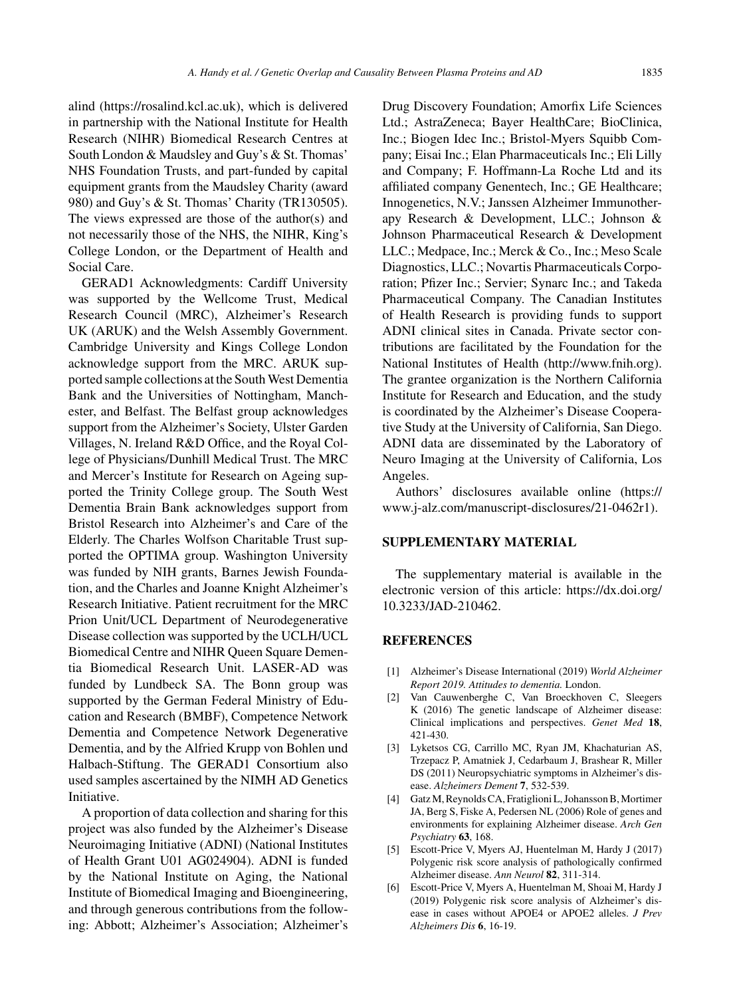alind ([https://rosalind.kcl.ac.uk\)](https://rosalind.kcl.ac.uk), which is delivered in partnership with the National Institute for Health Research (NIHR) Biomedical Research Centres at South London & Maudsley and Guy's & St. Thomas' NHS Foundation Trusts, and part-funded by capital equipment grants from the Maudsley Charity (award 980) and Guy's & St. Thomas' Charity (TR130505). The views expressed are those of the author(s) and not necessarily those of the NHS, the NIHR, King's College London, or the Department of Health and Social Care.

GERAD1 Acknowledgments: Cardiff University was supported by the Wellcome Trust, Medical Research Council (MRC), Alzheimer's Research UK (ARUK) and the Welsh Assembly Government. Cambridge University and Kings College London acknowledge support from the MRC. ARUK supported sample collections at the South West Dementia Bank and the Universities of Nottingham, Manchester, and Belfast. The Belfast group acknowledges support from the Alzheimer's Society, Ulster Garden Villages, N. Ireland R&D Office, and the Royal College of Physicians/Dunhill Medical Trust. The MRC and Mercer's Institute for Research on Ageing supported the Trinity College group. The South West Dementia Brain Bank acknowledges support from Bristol Research into Alzheimer's and Care of the Elderly. The Charles Wolfson Charitable Trust supported the OPTIMA group. Washington University was funded by NIH grants, Barnes Jewish Foundation, and the Charles and Joanne Knight Alzheimer's Research Initiative. Patient recruitment for the MRC Prion Unit/UCL Department of Neurodegenerative Disease collection was supported by the UCLH/UCL Biomedical Centre and NIHR Queen Square Dementia Biomedical Research Unit. LASER-AD was funded by Lundbeck SA. The Bonn group was supported by the German Federal Ministry of Education and Research (BMBF), Competence Network Dementia and Competence Network Degenerative Dementia, and by the Alfried Krupp von Bohlen und Halbach-Stiftung. The GERAD1 Consortium also used samples ascertained by the NIMH AD Genetics Initiative.

A proportion of data collection and sharing for this project was also funded by the Alzheimer's Disease Neuroimaging Initiative (ADNI) (National Institutes of Health Grant U01 AG024904). ADNI is funded by the National Institute on Aging, the National Institute of Biomedical Imaging and Bioengineering, and through generous contributions from the following: Abbott; Alzheimer's Association; Alzheimer's

Drug Discovery Foundation; Amorfix Life Sciences Ltd.; AstraZeneca; Bayer HealthCare; BioClinica, Inc.; Biogen Idec Inc.; Bristol-Myers Squibb Company; Eisai Inc.; Elan Pharmaceuticals Inc.; Eli Lilly and Company; F. Hoffmann-La Roche Ltd and its affiliated company Genentech, Inc.; GE Healthcare; Innogenetics, N.V.; Janssen Alzheimer Immunotherapy Research & Development, LLC.; Johnson & Johnson Pharmaceutical Research & Development LLC.; Medpace, Inc.; Merck & Co., Inc.; Meso Scale Diagnostics, LLC.; Novartis Pharmaceuticals Corporation; Pfizer Inc.; Servier; Synarc Inc.; and Takeda Pharmaceutical Company. The Canadian Institutes of Health Research is providing funds to support ADNI clinical sites in Canada. Private sector contributions are facilitated by the Foundation for the National Institutes of Health [\(http://www.fnih.org](http://www.fnih.org)). The grantee organization is the Northern California Institute for Research and Education, and the study is coordinated by the Alzheimer's Disease Cooperative Study at the University of California, San Diego. ADNI data are disseminated by the Laboratory of Neuro Imaging at the University of California, Los Angeles.

Authors' disclosures available online [\(https://](https://www.j-alz.com/manuscript-disclosures/21-0462r1) www.j-alz.com/manuscript-disclosures/21-0462r1).

## **SUPPLEMENTARY MATERIAL**

The supplementary material is available in the electronic version of this article: [https://dx.doi.org/](https://dx.doi.org/10.3233/JAD-210462) 10.3233/JAD-210462.

## **REFERENCES**

- [1] Alzheimer's Disease International (2019) *World Alzheimer Report 2019. Attitudes to dementia.* London.
- [2] Van Cauwenberghe C, Van Broeckhoven C, Sleegers K (2016) The genetic landscape of Alzheimer disease: Clinical implications and perspectives. *Genet Med* **18**, 421-430.
- [3] Lyketsos CG, Carrillo MC, Ryan JM, Khachaturian AS, Trzepacz P, Amatniek J, Cedarbaum J, Brashear R, Miller DS (2011) Neuropsychiatric symptoms in Alzheimer's disease. *Alzheimers Dement* **7**, 532-539.
- [4] Gatz M, Reynolds CA, Fratiglioni L, Johansson B, Mortimer JA, Berg S, Fiske A, Pedersen NL (2006) Role of genes and environments for explaining Alzheimer disease. *Arch Gen Psychiatry* **63**, 168.
- [5] Escott-Price V, Myers AJ, Huentelman M, Hardy J (2017) Polygenic risk score analysis of pathologically confirmed Alzheimer disease. *Ann Neurol* **82**, 311-314.
- [6] Escott-Price V, Myers A, Huentelman M, Shoai M, Hardy J (2019) Polygenic risk score analysis of Alzheimer's disease in cases without APOE4 or APOE2 alleles. *J Prev Alzheimers Dis* **6**, 16-19.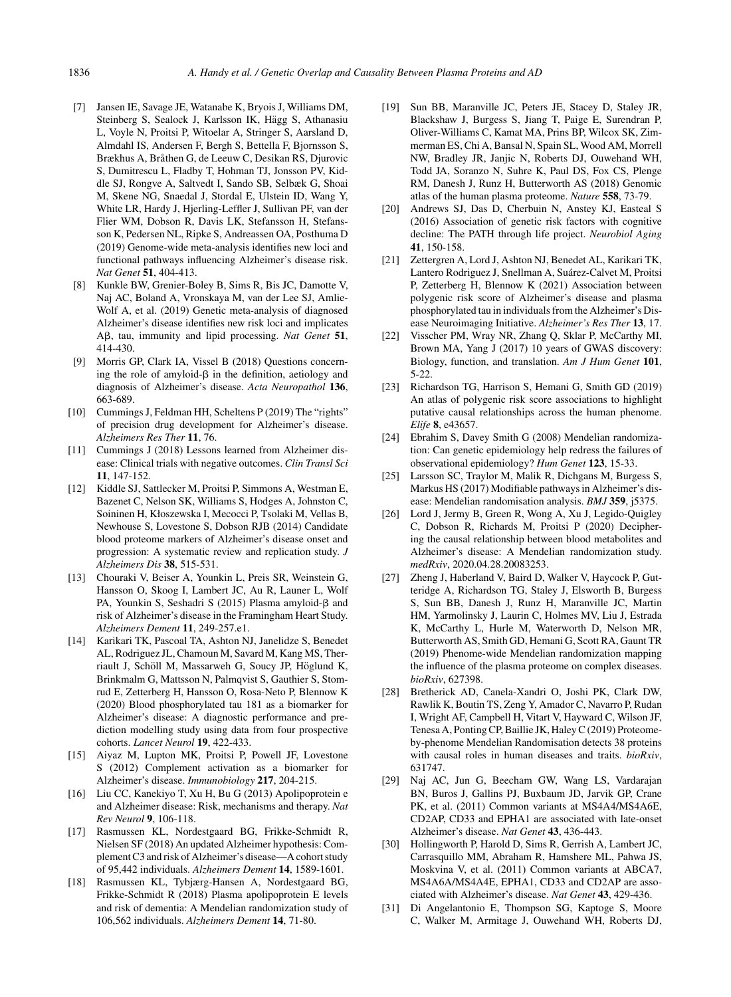- [7] Jansen IE, Savage JE, Watanabe K, Bryois J, Williams DM, Steinberg S, Sealock J, Karlsson IK, Hägg S, Athanasiu L, Voyle N, Proitsi P, Witoelar A, Stringer S, Aarsland D, Almdahl IS, Andersen F, Bergh S, Bettella F, Bjornsson S, Brækhus A, Bråthen G, de Leeuw C, Desikan RS, Djurovic S, Dumitrescu L, Fladby T, Hohman TJ, Jonsson PV, Kiddle SJ, Rongve A, Saltvedt I, Sando SB, Selbæk G, Shoai M, Skene NG, Snaedal J, Stordal E, Ulstein ID, Wang Y, White LR, Hardy J, Hjerling-Leffler J, Sullivan PF, van der Flier WM, Dobson R, Davis LK, Stefansson H, Stefansson K, Pedersen NL, Ripke S, Andreassen OA, Posthuma D (2019) Genome-wide meta-analysis identifies new loci and functional pathways influencing Alzheimer's disease risk. *Nat Genet* **51**, 404-413.
- [8] Kunkle BW, Grenier-Boley B, Sims R, Bis JC, Damotte V, Naj AC, Boland A, Vronskaya M, van der Lee SJ, Amlie-Wolf A, et al. (2019) Genetic meta-analysis of diagnosed Alzheimer's disease identifies new risk loci and implicates A $\beta$ , tau, immunity and lipid processing. *Nat Genet* 51, 414-430.
- [9] Morris GP, Clark IA, Vissel B (2018) Questions concerning the role of amyloid- $\beta$  in the definition, aetiology and diagnosis of Alzheimer's disease. *Acta Neuropathol* **136**, 663-689.
- [10] Cummings J, Feldman HH, Scheltens P (2019) The "rights" of precision drug development for Alzheimer's disease. *Alzheimers Res Ther* **11**, 76.
- [11] Cummings J (2018) Lessons learned from Alzheimer disease: Clinical trials with negative outcomes. *Clin Transl Sci* **11**, 147-152.
- [12] Kiddle SJ, Sattlecker M, Proitsi P, Simmons A, Westman E, Bazenet C, Nelson SK, Williams S, Hodges A, Johnston C, Soininen H, Kłoszewska I, Mecocci P, Tsolaki M, Vellas B, Newhouse S, Lovestone S, Dobson RJB (2014) Candidate blood proteome markers of Alzheimer's disease onset and progression: A systematic review and replication study. *J Alzheimers Dis* **38**, 515-531.
- [13] Chouraki V, Beiser A, Younkin L, Preis SR, Weinstein G, Hansson O, Skoog I, Lambert JC, Au R, Launer L, Wolf PA, Younkin S, Seshadri S (2015) Plasma amyloid- $\beta$  and risk of Alzheimer's disease in the Framingham Heart Study. *Alzheimers Dement* **11**, 249-257.e1.
- [14] Karikari TK, Pascoal TA, Ashton NJ, Janelidze S, Benedet AL, Rodriguez JL, Chamoun M, Savard M, Kang MS, Therriault J, Schöll M, Massarweh G, Soucy JP, Höglund K, Brinkmalm G, Mattsson N, Palmqvist S, Gauthier S, Stomrud E, Zetterberg H, Hansson O, Rosa-Neto P, Blennow K (2020) Blood phosphorylated tau 181 as a biomarker for Alzheimer's disease: A diagnostic performance and prediction modelling study using data from four prospective cohorts. *Lancet Neurol* **19**, 422-433.
- [15] Aiyaz M, Lupton MK, Proitsi P, Powell JF, Lovestone S (2012) Complement activation as a biomarker for Alzheimer's disease. *Immunobiology* **217**, 204-215.
- [16] Liu CC, Kanekiyo T, Xu H, Bu G (2013) Apolipoprotein e and Alzheimer disease: Risk, mechanisms and therapy. *Nat Rev Neurol* **9**, 106-118.
- [17] Rasmussen KL, Nordestgaard BG, Frikke-Schmidt R, Nielsen SF (2018) An updated Alzheimer hypothesis: Complement C3 and risk of Alzheimer's disease—A cohort study of 95,442 individuals. *Alzheimers Dement* **14**, 1589-1601.
- [18] Rasmussen KL, Tybjærg-Hansen A, Nordestgaard BG, Frikke-Schmidt R (2018) Plasma apolipoprotein E levels and risk of dementia: A Mendelian randomization study of 106,562 individuals. *Alzheimers Dement* **14**, 71-80.
- [19] Sun BB, Maranville JC, Peters JE, Stacey D, Staley JR, Blackshaw J, Burgess S, Jiang T, Paige E, Surendran P, Oliver-Williams C, Kamat MA, Prins BP, Wilcox SK, Zimmerman ES, Chi A, Bansal N, Spain SL, Wood AM, Morrell NW, Bradley JR, Janjic N, Roberts DJ, Ouwehand WH, Todd JA, Soranzo N, Suhre K, Paul DS, Fox CS, Plenge RM, Danesh J, Runz H, Butterworth AS (2018) Genomic atlas of the human plasma proteome. *Nature* **558**, 73-79.
- [20] Andrews SJ, Das D, Cherbuin N, Anstey KJ, Easteal S (2016) Association of genetic risk factors with cognitive decline: The PATH through life project. *Neurobiol Aging* **41**, 150-158.
- [21] Zettergren A, Lord J, Ashton NJ, Benedet AL, Karikari TK, Lantero Rodriguez J, Snellman A, Suárez-Calvet M, Proitsi P, Zetterberg H, Blennow K (2021) Association between polygenic risk score of Alzheimer's disease and plasma phosphorylated tau in individuals from the Alzheimer's Disease Neuroimaging Initiative. *Alzheimer's Res Ther* **13**, 17.
- [22] Visscher PM, Wray NR, Zhang Q, Sklar P, McCarthy MI, Brown MA, Yang J (2017) 10 years of GWAS discovery: Biology, function, and translation. *Am J Hum Genet* **101**, 5-22.
- [23] Richardson TG, Harrison S, Hemani G, Smith GD (2019) An atlas of polygenic risk score associations to highlight putative causal relationships across the human phenome. *Elife* **8**, e43657.
- [24] Ebrahim S, Davey Smith G (2008) Mendelian randomization: Can genetic epidemiology help redress the failures of observational epidemiology? *Hum Genet* **123**, 15-33.
- [25] Larsson SC, Traylor M, Malik R, Dichgans M, Burgess S, Markus HS (2017) Modifiable pathways in Alzheimer's disease: Mendelian randomisation analysis. *BMJ* **359**, j5375.
- [26] Lord J, Jermy B, Green R, Wong A, Xu J, Legido-Quigley C, Dobson R, Richards M, Proitsi P (2020) Deciphering the causal relationship between blood metabolites and Alzheimer's disease: A Mendelian randomization study. *medRxiv*, 2020.04.28.20083253.
- [27] Zheng J, Haberland V, Baird D, Walker V, Haycock P, Gutteridge A, Richardson TG, Staley J, Elsworth B, Burgess S, Sun BB, Danesh J, Runz H, Maranville JC, Martin HM, Yarmolinsky J, Laurin C, Holmes MV, Liu J, Estrada K, McCarthy L, Hurle M, Waterworth D, Nelson MR, Butterworth AS, Smith GD, Hemani G, Scott RA, Gaunt TR (2019) Phenome-wide Mendelian randomization mapping the influence of the plasma proteome on complex diseases. *bioRxiv*, 627398.
- [28] Bretherick AD, Canela-Xandri O, Joshi PK, Clark DW, Rawlik K, Boutin TS, Zeng Y, Amador C, Navarro P, Rudan I, Wright AF, Campbell H, Vitart V, Hayward C, Wilson JF, Tenesa A, Ponting CP, Baillie JK, Haley C (2019) Proteomeby-phenome Mendelian Randomisation detects 38 proteins with causal roles in human diseases and traits. *bioRxiv*, 631747.
- [29] Naj AC, Jun G, Beecham GW, Wang LS, Vardarajan BN, Buros J, Gallins PJ, Buxbaum JD, Jarvik GP, Crane PK, et al. (2011) Common variants at MS4A4/MS4A6E, CD2AP, CD33 and EPHA1 are associated with late-onset Alzheimer's disease. *Nat Genet* **43**, 436-443.
- [30] Hollingworth P, Harold D, Sims R, Gerrish A, Lambert JC, Carrasquillo MM, Abraham R, Hamshere ML, Pahwa JS, Moskvina V, et al. (2011) Common variants at ABCA7, MS4A6A/MS4A4E, EPHA1, CD33 and CD2AP are associated with Alzheimer's disease. *Nat Genet* **43**, 429-436.
- [31] Di Angelantonio E, Thompson SG, Kaptoge S, Moore C, Walker M, Armitage J, Ouwehand WH, Roberts DJ,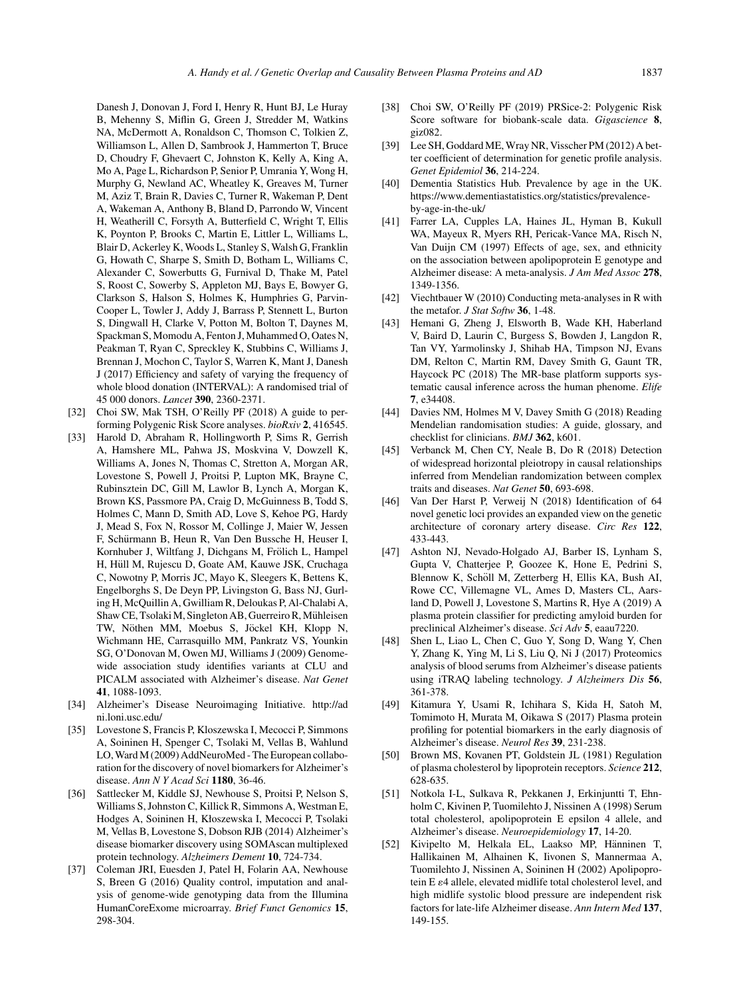Danesh J, Donovan J, Ford I, Henry R, Hunt BJ, Le Huray B, Mehenny S, Miflin G, Green J, Stredder M, Watkins NA, McDermott A, Ronaldson C, Thomson C, Tolkien Z, Williamson L, Allen D, Sambrook J, Hammerton T, Bruce D, Choudry F, Ghevaert C, Johnston K, Kelly A, King A, Mo A, Page L, Richardson P, Senior P, Umrania Y, Wong H, Murphy G, Newland AC, Wheatley K, Greaves M, Turner M, Aziz T, Brain R, Davies C, Turner R, Wakeman P, Dent A, Wakeman A, Anthony B, Bland D, Parrondo W, Vincent H, Weatherill C, Forsyth A, Butterfield C, Wright T, Ellis K, Poynton P, Brooks C, Martin E, Littler L, Williams L, Blair D, Ackerley K, Woods L, Stanley S, Walsh G, Franklin G, Howath C, Sharpe S, Smith D, Botham L, Williams C, Alexander C, Sowerbutts G, Furnival D, Thake M, Patel S, Roost C, Sowerby S, Appleton MJ, Bays E, Bowyer G, Clarkson S, Halson S, Holmes K, Humphries G, Parvin-Cooper L, Towler J, Addy J, Barrass P, Stennett L, Burton S, Dingwall H, Clarke V, Potton M, Bolton T, Daynes M, Spackman S, Momodu A, Fenton J, Muhammed O, Oates N, Peakman T, Ryan C, Spreckley K, Stubbins C, Williams J, Brennan J, Mochon C, Taylor S, Warren K, Mant J, Danesh J (2017) Efficiency and safety of varying the frequency of whole blood donation (INTERVAL): A randomised trial of 45 000 donors. *Lancet* **390**, 2360-2371.

- [32] Choi SW, Mak TSH, O'Reilly PF (2018) A guide to performing Polygenic Risk Score analyses. *bioRxiv* **2**, 416545.
- [33] Harold D, Abraham R, Hollingworth P, Sims R, Gerrish A, Hamshere ML, Pahwa JS, Moskvina V, Dowzell K, Williams A, Jones N, Thomas C, Stretton A, Morgan AR, Lovestone S, Powell J, Proitsi P, Lupton MK, Brayne C, Rubinsztein DC, Gill M, Lawlor B, Lynch A, Morgan K, Brown KS, Passmore PA, Craig D, McGuinness B, Todd S, Holmes C, Mann D, Smith AD, Love S, Kehoe PG, Hardy J, Mead S, Fox N, Rossor M, Collinge J, Maier W, Jessen F, Schürmann B, Heun R, Van Den Bussche H, Heuser I, Kornhuber J, Wiltfang J, Dichgans M, Frölich L, Hampel H, Hüll M, Rujescu D, Goate AM, Kauwe JSK, Cruchaga C, Nowotny P, Morris JC, Mayo K, Sleegers K, Bettens K, Engelborghs S, De Deyn PP, Livingston G, Bass NJ, Gurling H, McQuillin A, Gwilliam R, Deloukas P, Al-Chalabi A, Shaw CE, Tsolaki M, Singleton AB, Guerreiro R, Muhleisen ¨ TW, Nöthen MM, Moebus S, Jöckel KH, Klopp N, Wichmann HE, Carrasquillo MM, Pankratz VS, Younkin SG, O'Donovan M, Owen MJ, Williams J (2009) Genomewide association study identifies variants at CLU and PICALM associated with Alzheimer's disease. *Nat Genet* **41**, 1088-1093.
- [34] Alzheimer's Disease Neuroimaging Initiative. [http://ad](http://adni.loni.usc.edu/) ni.loni.usc.edu/
- [35] Lovestone S, Francis P, Kloszewska I, Mecocci P, Simmons A, Soininen H, Spenger C, Tsolaki M, Vellas B, Wahlund LO, Ward M (2009) AddNeuroMed - The European collaboration for the discovery of novel biomarkers for Alzheimer's disease. *Ann N Y Acad Sci* **1180**, 36-46.
- [36] Sattlecker M, Kiddle SJ, Newhouse S, Proitsi P, Nelson S, Williams S, Johnston C, Killick R, Simmons A, Westman E, Hodges A, Soininen H, Kłoszewska I, Mecocci P, Tsolaki M, Vellas B, Lovestone S, Dobson RJB (2014) Alzheimer's disease biomarker discovery using SOMAscan multiplexed protein technology. *Alzheimers Dement* **10**, 724-734.
- [37] Coleman JRI, Euesden J, Patel H, Folarin AA, Newhouse S, Breen G (2016) Quality control, imputation and analysis of genome-wide genotyping data from the Illumina HumanCoreExome microarray. *Brief Funct Genomics* **15**, 298-304.
- [38] Choi SW, O'Reilly PF (2019) PRSice-2: Polygenic Risk Score software for biobank-scale data. *Gigascience* **8**, giz082.
- [39] Lee SH, Goddard ME, Wray NR, Visscher PM (2012) A better coefficient of determination for genetic profile analysis. *Genet Epidemiol* **36**, 214-224.
- [40] Dementia Statistics Hub. Prevalence by age in the UK. [https://www.dementiastatistics.org/statistics/prevalence](https://www.dementiastatistics.org/statistics/prevalence-by-age-in-the-uk/)by-age-in-the-uk/
- [41] Farrer LA, Cupples LA, Haines JL, Hyman B, Kukull WA, Mayeux R, Myers RH, Pericak-Vance MA, Risch N, Van Duijn CM (1997) Effects of age, sex, and ethnicity on the association between apolipoprotein E genotype and Alzheimer disease: A meta-analysis. *J Am Med Assoc* **278**, 1349-1356.
- [42] Viechtbauer W (2010) Conducting meta-analyses in R with the metafor. *J Stat Softw* **36**, 1-48.
- [43] Hemani G, Zheng J, Elsworth B, Wade KH, Haberland V, Baird D, Laurin C, Burgess S, Bowden J, Langdon R, Tan VY, Yarmolinsky J, Shihab HA, Timpson NJ, Evans DM, Relton C, Martin RM, Davey Smith G, Gaunt TR, Haycock PC (2018) The MR-base platform supports systematic causal inference across the human phenome. *Elife* **7**, e34408.
- [44] Davies NM, Holmes M V, Davey Smith G (2018) Reading Mendelian randomisation studies: A guide, glossary, and checklist for clinicians. *BMJ* **362**, k601.
- [45] Verbanck M, Chen CY, Neale B, Do R (2018) Detection of widespread horizontal pleiotropy in causal relationships inferred from Mendelian randomization between complex traits and diseases. *Nat Genet* **50**, 693-698.
- [46] Van Der Harst P, Verweij N (2018) Identification of 64 novel genetic loci provides an expanded view on the genetic architecture of coronary artery disease. *Circ Res* **122**, 433-443.
- [47] Ashton NJ, Nevado-Holgado AJ, Barber IS, Lynham S, Gupta V, Chatterjee P, Goozee K, Hone E, Pedrini S, Blennow K, Schöll M, Zetterberg H, Ellis KA, Bush AI, Rowe CC, Villemagne VL, Ames D, Masters CL, Aarsland D, Powell J, Lovestone S, Martins R, Hye A (2019) A plasma protein classifier for predicting amyloid burden for preclinical Alzheimer's disease. *Sci Adv* **5**, eaau7220.
- [48] Shen L, Liao L, Chen C, Guo Y, Song D, Wang Y, Chen Y, Zhang K, Ying M, Li S, Liu Q, Ni J (2017) Proteomics analysis of blood serums from Alzheimer's disease patients using iTRAQ labeling technology. *J Alzheimers Dis* **56**, 361-378.
- [49] Kitamura Y, Usami R, Ichihara S, Kida H, Satoh M, Tomimoto H, Murata M, Oikawa S (2017) Plasma protein profiling for potential biomarkers in the early diagnosis of Alzheimer's disease. *Neurol Res* **39**, 231-238.
- [50] Brown MS, Kovanen PT, Goldstein JL (1981) Regulation of plasma cholesterol by lipoprotein receptors. *Science* **212**, 628-635.
- [51] Notkola I-L, Sulkava R, Pekkanen J, Erkinjuntti T, Ehnholm C, Kivinen P, Tuomilehto J, Nissinen A (1998) Serum total cholesterol, apolipoprotein E epsilon 4 allele, and Alzheimer's disease. *Neuroepidemiology* **17**, 14-20.
- [52] Kivipelto M, Helkala EL, Laakso MP, Hänninen T, Hallikainen M, Alhainen K, Iivonen S, Mannermaa A, Tuomilehto J, Nissinen A, Soininen H (2002) Apolipoprotein E  $\varepsilon$ 4 allele, elevated midlife total cholesterol level, and high midlife systolic blood pressure are independent risk factors for late-life Alzheimer disease. *Ann Intern Med* **137**, 149-155.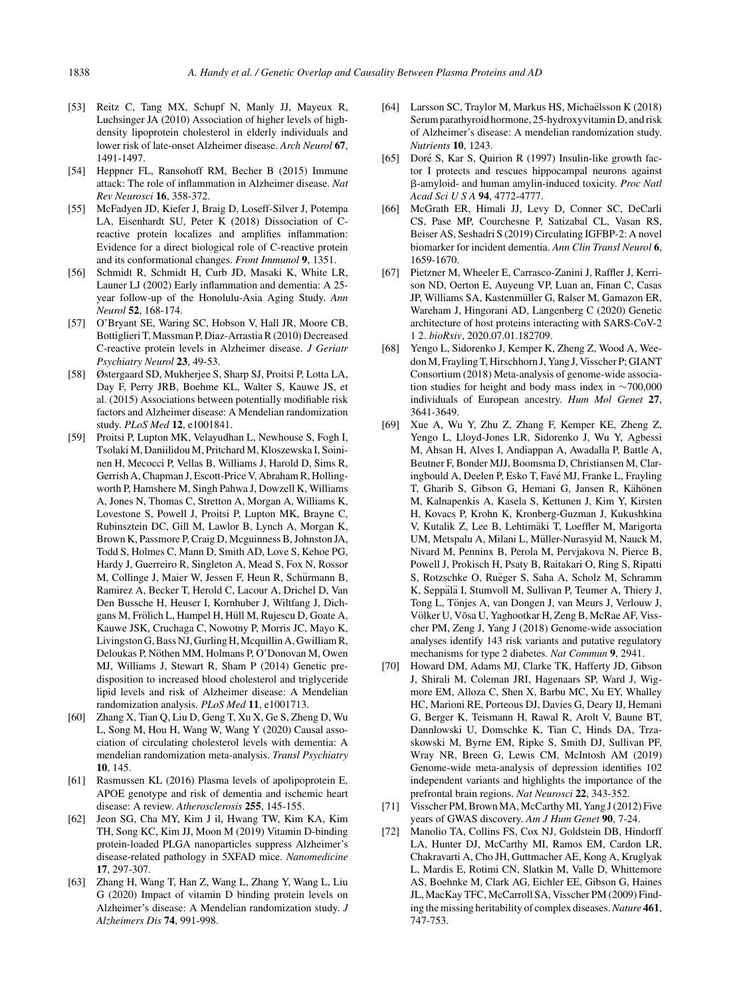- [53] Reitz C, Tang MX, Schupf N, Manly JJ, Mayeux R, Luchsinger JA (2010) Association of higher levels of highdensity lipoprotein cholesterol in elderly individuals and lower risk of late-onset Alzheimer disease. *Arch Neurol* **67**, 1491-1497.
- [54] Heppner FL, Ransohoff RM, Becher B (2015) Immune attack: The role of inflammation in Alzheimer disease. *Nat Rev Neurosci* **16**, 358-372.
- [55] McFadyen JD, Kiefer J, Braig D, Loseff-Silver J, Potempa LA, Eisenhardt SU, Peter K (2018) Dissociation of Creactive protein localizes and amplifies inflammation: Evidence for a direct biological role of C-reactive protein and its conformational changes. *Front Immunol* **9**, 1351.
- [56] Schmidt R, Schmidt H, Curb JD, Masaki K, White LR, Launer LJ (2002) Early inflammation and dementia: A 25 year follow-up of the Honolulu-Asia Aging Study. *Ann Neurol* **52**, 168-174.
- [57] O'Bryant SE, Waring SC, Hobson V, Hall JR, Moore CB, Bottiglieri T, Massman P, Diaz-Arrastia R (2010) Decreased C-reactive protein levels in Alzheimer disease. *J Geriatr Psychiatry Neurol* **23**, 49-53.
- [58] Østergaard SD, Mukherjee S, Sharp SJ, Proitsi P, Lotta LA, Day F, Perry JRB, Boehme KL, Walter S, Kauwe JS, et al. (2015) Associations between potentially modifiable risk factors and Alzheimer disease: A Mendelian randomization study. *PLoS Med* **12**, e1001841.
- [59] Proitsi P, Lupton MK, Velayudhan L, Newhouse S, Fogh I, Tsolaki M, Daniilidou M, Pritchard M, Kloszewska I, Soininen H, Mecocci P, Vellas B, Williams J, Harold D, Sims R, Gerrish A, Chapman J, Escott-Price V, Abraham R, Hollingworth P, Hamshere M, Singh Pahwa J, Dowzell K, Williams A, Jones N, Thomas C, Stretton A, Morgan A, Williams K, Lovestone S, Powell J, Proitsi P, Lupton MK, Brayne C, Rubinsztein DC, Gill M, Lawlor B, Lynch A, Morgan K, Brown K, Passmore P, Craig D, Mcguinness B, Johnston JA, Todd S, Holmes C, Mann D, Smith AD, Love S, Kehoe PG, Hardy J, Guerreiro R, Singleton A, Mead S, Fox N, Rossor M, Collinge J, Maier W, Jessen F, Heun R, Schürmann B, Ramirez A, Becker T, Herold C, Lacour A, Drichel D, Van Den Bussche H, Heuser I, Kornhuber J, Wiltfang J, Dichgans M, Frölich L, Hampel H, Hüll M, Rujescu D, Goate A, Kauwe JSK, Cruchaga C, Nowotny P, Morris JC, Mayo K, Livingston G, Bass NJ, Gurling H, Mcquillin A, Gwilliam R, Deloukas P, Nöthen MM, Holmans P, O'Donovan M, Owen MJ, Williams J, Stewart R, Sham P (2014) Genetic predisposition to increased blood cholesterol and triglyceride lipid levels and risk of Alzheimer disease: A Mendelian randomization analysis. *PLoS Med* **11**, e1001713.
- [60] Zhang X, Tian Q, Liu D, Geng T, Xu X, Ge S, Zheng D, Wu L, Song M, Hou H, Wang W, Wang Y (2020) Causal association of circulating cholesterol levels with dementia: A mendelian randomization meta-analysis. *Transl Psychiatry* **10**, 145.
- [61] Rasmussen KL (2016) Plasma levels of apolipoprotein E, APOE genotype and risk of dementia and ischemic heart disease: A review. *Atherosclerosis* **255**, 145-155.
- [62] Jeon SG, Cha MY, Kim J il, Hwang TW, Kim KA, Kim TH, Song KC, Kim JJ, Moon M (2019) Vitamin D-binding protein-loaded PLGA nanoparticles suppress Alzheimer's disease-related pathology in 5XFAD mice. *Nanomedicine* **17**, 297-307.
- [63] Zhang H, Wang T, Han Z, Wang L, Zhang Y, Wang L, Liu G (2020) Impact of vitamin D binding protein levels on Alzheimer's disease: A Mendelian randomization study. *J Alzheimers Dis* **74**, 991-998.
- [64] Larsson SC, Traylor M, Markus HS, Michaëlsson K (2018) Serum parathyroid hormone, 25-hydroxyvitamin D, and risk of Alzheimer's disease: A mendelian randomization study. *Nutrients* **10**, 1243.
- [65] Doré S, Kar S, Quirion R (1997) Insulin-like growth factor I protects and rescues hippocampal neurons against -amyloid- and human amylin-induced toxicity. *Proc Natl Acad SciUSA* **94**, 4772-4777.
- [66] McGrath ER, Himali JJ, Levy D, Conner SC, DeCarli CS, Pase MP, Courchesne P, Satizabal CL, Vasan RS, Beiser AS, Seshadri S (2019) Circulating IGFBP-2: A novel biomarker for incident dementia. *Ann Clin Transl Neurol* **6**, 1659-1670.
- [67] Pietzner M, Wheeler E, Carrasco-Zanini J, Raffler J, Kerrison ND, Oerton E, Auyeung VP, Luan an, Finan C, Casas JP, Williams SA, Kastenmüller G, Ralser M, Gamazon ER, Wareham J, Hingorani AD, Langenberg C (2020) Genetic architecture of host proteins interacting with SARS-CoV-2 1 2. *bioRxiv*, 2020.07.01.182709.
- [68] Yengo L, Sidorenko J, Kemper K, Zheng Z, Wood A, Weedon M, Frayling T, Hirschhorn J, Yang J, Visscher P; GIANT Consortium (2018) Meta-analysis of genome-wide association studies for height and body mass index in ∼700,000 individuals of European ancestry. *Hum Mol Genet* **27**, 3641-3649.
- [69] Xue A, Wu Y, Zhu Z, Zhang F, Kemper KE, Zheng Z, Yengo L, Lloyd-Jones LR, Sidorenko J, Wu Y, Agbessi M, Ahsan H, Alves I, Andiappan A, Awadalla P, Battle A, Beutner F, Bonder MJJ, Boomsma D, Christiansen M, Claringbould A, Deelen P, Esko T, Fave MJ, Franke L, Frayling ´ T, Gharib S, Gibson G, Hemani G, Jansen R, Kähönen M, Kalnapenkis A, Kasela S, Kettunen J, Kim Y, Kirsten H, Kovacs P, Krohn K, Kronberg-Guzman J, Kukushkina V, Kutalik Z, Lee B, Lehtimaki T, Loeffler M, Marigorta ¨ UM, Metspalu A, Milani L, Müller-Nurasyid M, Nauck M, Nivard M, Penninx B, Perola M, Pervjakova N, Pierce B, Powell J, Prokisch H, Psaty B, Raitakari O, Ring S, Ripatti S, Rotzschke O, Ruëger S, Saha A, Scholz M, Schramm K, Seppälä I, Stumvoll M, Sullivan P, Teumer A, Thiery J, Tong L, Tonjes A, van Dongen J, van Meurs J, Verlouw J, ¨ Völker U, Võsa U, Yaghootkar H, Zeng B, McRae AF, Visscher PM, Zeng J, Yang J (2018) Genome-wide association analyses identify 143 risk variants and putative regulatory mechanisms for type 2 diabetes. *Nat Commun* **9**, 2941.
- [70] Howard DM, Adams MJ, Clarke TK, Hafferty JD, Gibson J, Shirali M, Coleman JRI, Hagenaars SP, Ward J, Wigmore EM, Alloza C, Shen X, Barbu MC, Xu EY, Whalley HC, Marioni RE, Porteous DJ, Davies G, Deary IJ, Hemani G, Berger K, Teismann H, Rawal R, Arolt V, Baune BT, Dannlowski U, Domschke K, Tian C, Hinds DA, Trzaskowski M, Byrne EM, Ripke S, Smith DJ, Sullivan PF, Wray NR, Breen G, Lewis CM, McIntosh AM (2019) Genome-wide meta-analysis of depression identifies 102 independent variants and highlights the importance of the prefrontal brain regions. *Nat Neurosci* **22**, 343-352.
- [71] Visscher PM, Brown MA, McCarthy MI, Yang J (2012) Five years of GWAS discovery. *Am J Hum Genet* **90**, 7-24.
- [72] Manolio TA, Collins FS, Cox NJ, Goldstein DB, Hindorff LA, Hunter DJ, McCarthy MI, Ramos EM, Cardon LR, Chakravarti A, Cho JH, Guttmacher AE, Kong A, Kruglyak L, Mardis E, Rotimi CN, Slatkin M, Valle D, Whittemore AS, Boehnke M, Clark AG, Eichler EE, Gibson G, Haines JL, MacKay TFC, McCarroll SA, Visscher PM (2009) Finding the missing heritability of complex diseases.*Nature* **461**, 747-753.